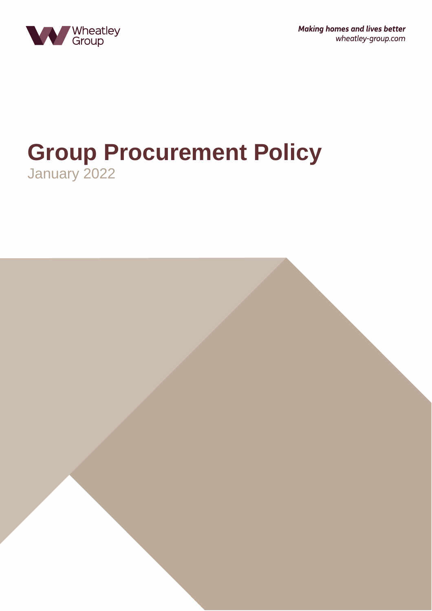

**Making homes and lives better** wheatley-group.com

# **Group Procurement Policy** January 2022

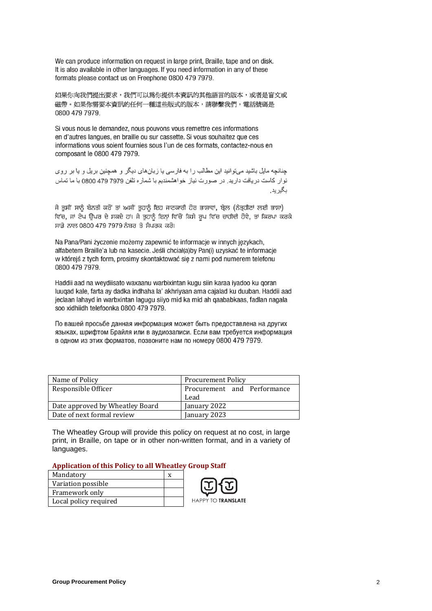We can produce information on request in large print, Braille, tape and on disk. It is also available in other languages. If you need information in any of these formats please contact us on Freephone 0800 479 7979.

如果你向我們提出要求,我們可以為你提供本資訊的其他語言的版本,或者是盲文或 磁帶。如果你需要本資訊的任何一種這些版式的版本,請聯繫我們,雷話號碼是 0800 479 7979.

Si vous nous le demandez, nous pouvons vous remettre ces informations en d'autres langues, en braille ou sur cassette. Si vous souhaitez que ces informations vous soient fournies sous l'un de ces formats, contactez-nous en composant le 0800 479 7979.

چنانچه مایل باشید میتوانید این مطالب را به فارسی یا زبانهای دیگر و همچنین بریل و یا بر روی نوار كاست دريافت داريد. در صورت نياز خواهشمنديم با شماره تلفن 7979 797 0800 با ما تماس بگير يد .

ਜੇ ਤੁਸੀਂ ਸਾਨੂੰ ਬੇਨਤੀ ਕਰੋਂ ਤਾਂ ਅਸੀਂ ਤੁਹਾਨੂੰ ਇਹ ਜਾਣਕਾਰੀ ਹੋਰ ਭਾਸ਼ਾਵਾਂ, ਬ੍ਰੇਲ (ਨੇਤ੍ਰਹੀਣਾਂ ਲਈ ਭਾਸ਼ਾ) ਵਿੱਚ, ਜਾਂ ਟੇਪ ਉਪਰ ਦੇ ਸਕਦੇ ਹਾਂ। ਜੇ ਤੁਹਾਨੂੰ ਇਨ੍ਹਾਂ ਵਿੱਚੋਂ ਕਿਸੇ ਰੂਪ ਵਿੱਚ ਚਾਹੀਦੀ ਹੋਵੇ, ਤਾਂ ਕਿਰਪਾ ਕਰਕੇ ਸਾਡੇ ਨਾਲ 0800 479 7979 ਨੰਬਰ ਤੇ ਸੰਪਰਕ ਕਰੋ।

Na Pana/Pani życzenie możemy zapewnić te informacje w innych językach, alfabetem Braille'a lub na kasecie. Jeśli chciał(a)by Pan(i) uzyskać te informacje w którejś z tych form, prosimy skontaktować się z nami pod numerem telefonu 0800 479 7979.

Haddii aad na weydiisato waxaanu warbixintan kugu siin karaa iyadoo ku qoran luugad kale, farta ay dadka indhaha la' akhriyaan ama cajalad ku duuban. Haddii aad jeclaan lahayd in warbxintan lagugu siiyo mid ka mid ah qaababkaas, fadlan nagala soo xidhiidh telefoonka 0800 479 7979.

По вашей просьбе данная информация может быть предоставлена на других языках, шрифтом Брайля или в аудиозаписи. Если вам требуется информация в одном из этих форматов, позвоните нам по номеру 0800 479 7979.

| Name of Policy                  | <b>Procurement Policy</b>           |
|---------------------------------|-------------------------------------|
| Responsible Officer             | Procurement and Performance<br>Lead |
| Date approved by Wheatley Board | January 2022                        |
| Date of next formal review      | January 2023                        |

The Wheatley Group will provide this policy on request at no cost, in large print, in Braille, on tape or in other non-written format, and in a variety of languages.

#### **Application of this Policy to all Wheatley Group Staff**

| Mandatory             |                    |
|-----------------------|--------------------|
| Variation possible    |                    |
| Framework only        |                    |
| Local policy required | HAPPY TO TRANSLATE |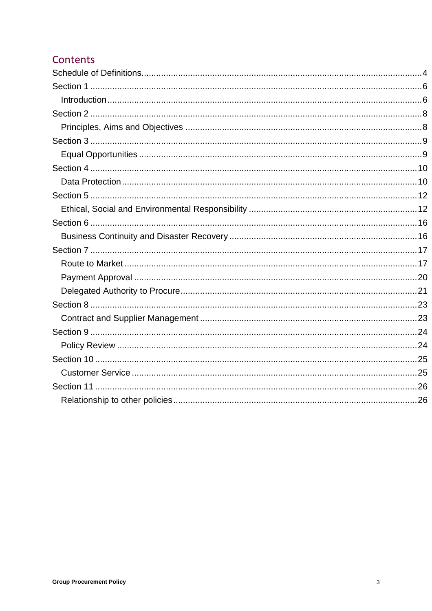# Contents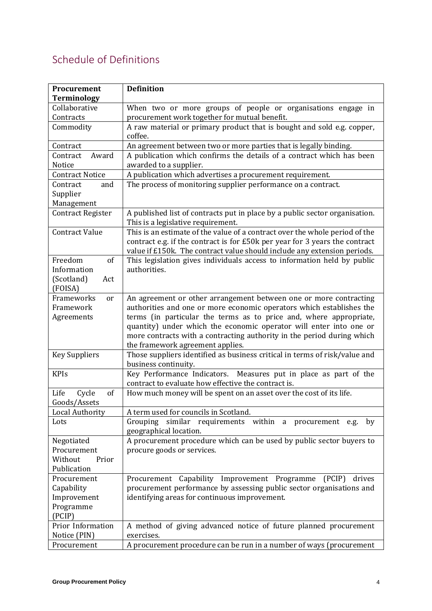# <span id="page-3-0"></span>Schedule of Definitions

| Procurement               | <b>Definition</b>                                                                              |  |
|---------------------------|------------------------------------------------------------------------------------------------|--|
| <b>Terminology</b>        |                                                                                                |  |
| Collaborative             | When two or more groups of people or organisations engage in                                   |  |
| Contracts                 | procurement work together for mutual benefit.                                                  |  |
| Commodity                 | A raw material or primary product that is bought and sold e.g. copper,<br>coffee.              |  |
| Contract                  | An agreement between two or more parties that is legally binding.                              |  |
| Contract<br>Award         | A publication which confirms the details of a contract which has been                          |  |
| Notice                    | awarded to a supplier.                                                                         |  |
| <b>Contract Notice</b>    | A publication which advertises a procurement requirement.                                      |  |
| Contract<br>and           | The process of monitoring supplier performance on a contract.                                  |  |
| Supplier                  |                                                                                                |  |
| Management                |                                                                                                |  |
| <b>Contract Register</b>  | A published list of contracts put in place by a public sector organisation.                    |  |
|                           | This is a legislative requirement.                                                             |  |
| <b>Contract Value</b>     | This is an estimate of the value of a contract over the whole period of the                    |  |
|                           | contract e.g. if the contract is for £50k per year for 3 years the contract                    |  |
|                           | value if £150k. The contract value should include any extension periods.                       |  |
| Freedom<br>of             | This legislation gives individuals access to information held by public                        |  |
| Information               | authorities.                                                                                   |  |
| (Scotland)<br>Act         |                                                                                                |  |
| (FOISA)                   |                                                                                                |  |
| Frameworks<br>or          | An agreement or other arrangement between one or more contracting                              |  |
| Framework                 | authorities and one or more economic operators which establishes the                           |  |
| Agreements                | terms (in particular the terms as to price and, where appropriate,                             |  |
|                           | quantity) under which the economic operator will enter into one or                             |  |
|                           | more contracts with a contracting authority in the period during which                         |  |
|                           | the framework agreement applies.                                                               |  |
| <b>Key Suppliers</b>      | Those suppliers identified as business critical in terms of risk/value and                     |  |
|                           | business continuity.                                                                           |  |
| <b>KPIs</b>               | Measures put in place as part of the<br>Key Performance Indicators.                            |  |
|                           | contract to evaluate how effective the contract is.                                            |  |
| Life<br>Cycle<br>of       | How much money will be spent on an asset over the cost of its life.                            |  |
| Goods/Assets              |                                                                                                |  |
| <b>Local Authority</b>    | A term used for councils in Scotland.                                                          |  |
| Lots                      | similar requirements within a procurement e.g.<br>Grouping<br>by                               |  |
|                           | geographical location.<br>A procurement procedure which can be used by public sector buyers to |  |
| Negotiated<br>Procurement | procure goods or services.                                                                     |  |
| Without<br>Prior          |                                                                                                |  |
| Publication               |                                                                                                |  |
| Procurement               | Capability<br>(PCIP)<br>Improvement Programme<br>drives<br>Procurement                         |  |
| Capability                | procurement performance by assessing public sector organisations and                           |  |
| Improvement               | identifying areas for continuous improvement.                                                  |  |
| Programme                 |                                                                                                |  |
| (PCIP)                    |                                                                                                |  |
| Prior Information         | A method of giving advanced notice of future planned procurement                               |  |
| Notice (PIN)              | exercises.                                                                                     |  |
| Procurement               | A procurement procedure can be run in a number of ways (procurement                            |  |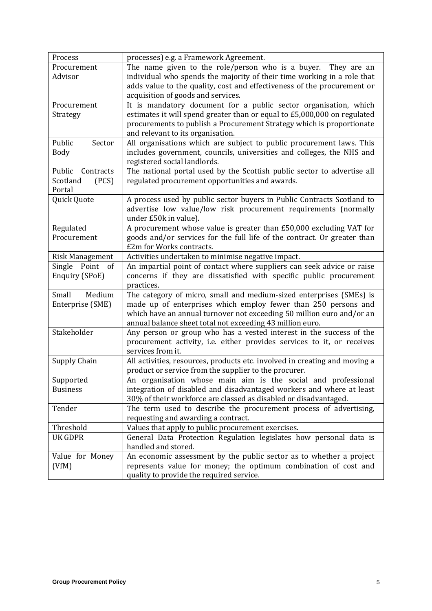| Process                | processes) e.g. a Framework Agreement.                                     |  |
|------------------------|----------------------------------------------------------------------------|--|
| Procurement            | The name given to the role/person who is a buyer.<br>They are an           |  |
| Advisor                | individual who spends the majority of their time working in a role that    |  |
|                        | adds value to the quality, cost and effectiveness of the procurement or    |  |
|                        | acquisition of goods and services.                                         |  |
| Procurement            | It is mandatory document for a public sector organisation, which           |  |
| Strategy               | estimates it will spend greater than or equal to £5,000,000 on regulated   |  |
|                        | procurements to publish a Procurement Strategy which is proportionate      |  |
|                        | and relevant to its organisation.                                          |  |
| Public<br>Sector       | All organisations which are subject to public procurement laws. This       |  |
| <b>Body</b>            | includes government, councils, universities and colleges, the NHS and      |  |
|                        | registered social landlords.                                               |  |
| Public Contracts       | The national portal used by the Scottish public sector to advertise all    |  |
| (PCS)<br>Scotland      | regulated procurement opportunities and awards.                            |  |
| Portal                 |                                                                            |  |
| Quick Quote            | A process used by public sector buyers in Public Contracts Scotland to     |  |
|                        | advertise low value/low risk procurement requirements (normally            |  |
|                        | under £50k in value).                                                      |  |
| Regulated              | A procurement whose value is greater than £50,000 excluding VAT for        |  |
| Procurement            | goods and/or services for the full life of the contract. Or greater than   |  |
|                        | £2m for Works contracts.                                                   |  |
| <b>Risk Management</b> | Activities undertaken to minimise negative impact.                         |  |
| Single Point<br>of     | An impartial point of contact where suppliers can seek advice or raise     |  |
| Enquiry (SPoE)         | concerns if they are dissatisfied with specific public procurement         |  |
|                        | practices.                                                                 |  |
| Small<br>Medium        | The category of micro, small and medium-sized enterprises (SMEs) is        |  |
| Enterprise (SME)       | made up of enterprises which employ fewer than 250 persons and             |  |
|                        | which have an annual turnover not exceeding 50 million euro and/or an      |  |
|                        | annual balance sheet total not exceeding 43 million euro.                  |  |
| Stakeholder            | Any person or group who has a vested interest in the success of the        |  |
|                        | procurement activity, i.e. either provides services to it, or receives     |  |
|                        | services from it.                                                          |  |
| <b>Supply Chain</b>    | All activities, resources, products etc. involved in creating and moving a |  |
|                        | product or service from the supplier to the procurer.                      |  |
| Supported              | An organisation whose main aim is the social and professional              |  |
| <b>Business</b>        | integration of disabled and disadvantaged workers and where at least       |  |
|                        | 30% of their workforce are classed as disabled or disadvantaged.           |  |
| Tender                 | The term used to describe the procurement process of advertising,          |  |
|                        | requesting and awarding a contract.                                        |  |
| Threshold              | Values that apply to public procurement exercises.                         |  |
| <b>UK GDPR</b>         | General Data Protection Regulation legislates how personal data is         |  |
|                        | handled and stored.                                                        |  |
| Value for Money        | An economic assessment by the public sector as to whether a project        |  |
| (VfM)                  | represents value for money; the optimum combination of cost and            |  |
|                        | quality to provide the required service.                                   |  |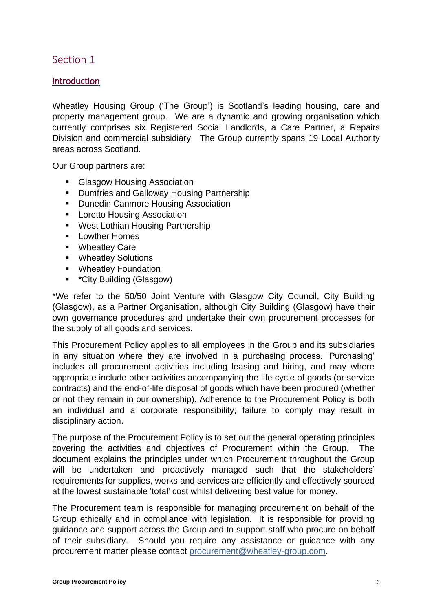# <span id="page-5-1"></span><span id="page-5-0"></span>Introduction

Wheatley Housing Group ('The Group') is Scotland's leading housing, care and property management group. We are a dynamic and growing organisation which currently comprises six Registered Social Landlords, a Care Partner, a Repairs Division and commercial subsidiary. The Group currently spans 19 Local Authority areas across Scotland.

Our Group partners are:

- Glasgow Housing Association
- Dumfries and Galloway Housing Partnership
- Dunedin Canmore Housing Association
- Loretto Housing Association
- West Lothian Housing Partnership
- Lowther Homes
- Wheatley Care
- Wheatley Solutions
- Wheatley Foundation
- \*City Building (Glasgow)

\*We refer to the 50/50 Joint Venture with Glasgow City Council, City Building (Glasgow), as a Partner Organisation, although City Building (Glasgow) have their own governance procedures and undertake their own procurement processes for the supply of all goods and services.

This Procurement Policy applies to all employees in the Group and its subsidiaries in any situation where they are involved in a purchasing process. 'Purchasing' includes all procurement activities including leasing and hiring, and may where appropriate include other activities accompanying the life cycle of goods (or service contracts) and the end-of-life disposal of goods which have been procured (whether or not they remain in our ownership). Adherence to the Procurement Policy is both an individual and a corporate responsibility; failure to comply may result in disciplinary action.

The purpose of the Procurement Policy is to set out the general operating principles covering the activities and objectives of Procurement within the Group. The document explains the principles under which Procurement throughout the Group will be undertaken and proactively managed such that the stakeholders' requirements for supplies, works and services are efficiently and effectively sourced at the lowest sustainable 'total' cost whilst delivering best value for money.

The Procurement team is responsible for managing procurement on behalf of the Group ethically and in compliance with legislation. It is responsible for providing guidance and support across the Group and to support staff who procure on behalf of their subsidiary. Should you require any assistance or guidance with any procurement matter please contact [procurement@wheatley-group.com.](mailto:procurement@wheatley-group.com)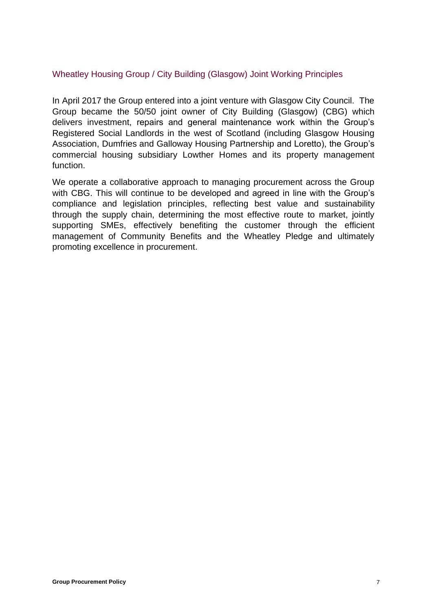# Wheatley Housing Group / City Building (Glasgow) Joint Working Principles

In April 2017 the Group entered into a joint venture with Glasgow City Council. The Group became the 50/50 joint owner of City Building (Glasgow) (CBG) which delivers investment, repairs and general maintenance work within the Group's Registered Social Landlords in the west of Scotland (including Glasgow Housing Association, Dumfries and Galloway Housing Partnership and Loretto), the Group's commercial housing subsidiary Lowther Homes and its property management function.

We operate a collaborative approach to managing procurement across the Group with CBG. This will continue to be developed and agreed in line with the Group's compliance and legislation principles, reflecting best value and sustainability through the supply chain, determining the most effective route to market, jointly supporting SMEs, effectively benefiting the customer through the efficient management of Community Benefits and the Wheatley Pledge and ultimately promoting excellence in procurement.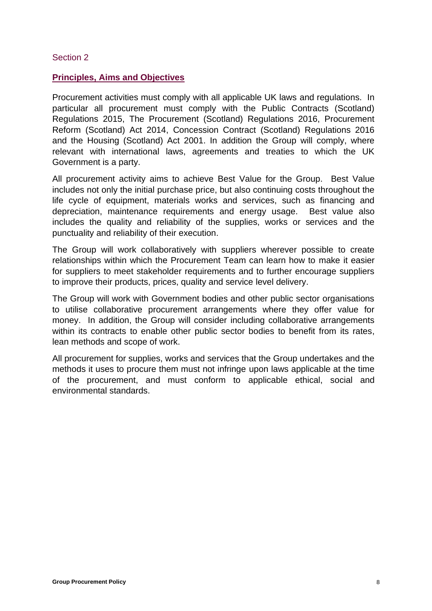#### <span id="page-7-1"></span><span id="page-7-0"></span>**Principles, Aims and Objectives**

Procurement activities must comply with all applicable UK laws and regulations. In particular all procurement must comply with the Public Contracts (Scotland) Regulations 2015, The Procurement (Scotland) Regulations 2016, Procurement Reform (Scotland) Act 2014, Concession Contract (Scotland) Regulations 2016 and the Housing (Scotland) Act 2001. In addition the Group will comply, where relevant with international laws, agreements and treaties to which the UK Government is a party.

All procurement activity aims to achieve Best Value for the Group. Best Value includes not only the initial purchase price, but also continuing costs throughout the life cycle of equipment, materials works and services, such as financing and depreciation, maintenance requirements and energy usage. Best value also includes the quality and reliability of the supplies, works or services and the punctuality and reliability of their execution.

The Group will work collaboratively with suppliers wherever possible to create relationships within which the Procurement Team can learn how to make it easier for suppliers to meet stakeholder requirements and to further encourage suppliers to improve their products, prices, quality and service level delivery.

The Group will work with Government bodies and other public sector organisations to utilise collaborative procurement arrangements where they offer value for money. In addition, the Group will consider including collaborative arrangements within its contracts to enable other public sector bodies to benefit from its rates, lean methods and scope of work.

<span id="page-7-2"></span>All procurement for supplies, works and services that the Group undertakes and the methods it uses to procure them must not infringe upon laws applicable at the time of the procurement, and must conform to applicable ethical, social and environmental standards.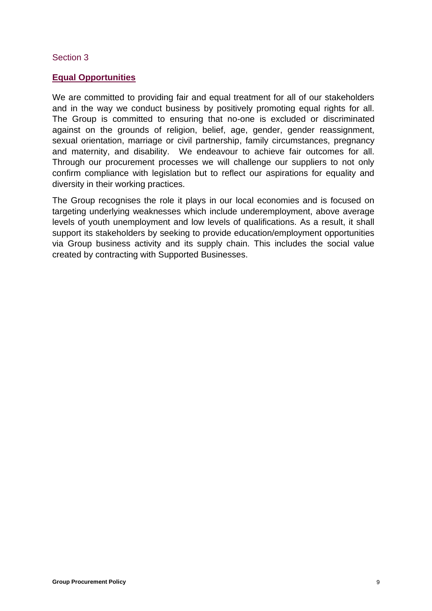#### <span id="page-8-0"></span>**Equal Opportunities**

We are committed to providing fair and equal treatment for all of our stakeholders and in the way we conduct business by positively promoting equal rights for all. The Group is committed to ensuring that no-one is excluded or discriminated against on the grounds of religion, belief, age, gender, gender reassignment, sexual orientation, marriage or civil partnership, family circumstances, pregnancy and maternity, and disability. We endeavour to achieve fair outcomes for all. Through our procurement processes we will challenge our suppliers to not only confirm compliance with legislation but to reflect our aspirations for equality and diversity in their working practices.

The Group recognises the role it plays in our local economies and is focused on targeting underlying weaknesses which include underemployment, above average levels of youth unemployment and low levels of qualifications. As a result, it shall support its stakeholders by seeking to provide education/employment opportunities via Group business activity and its supply chain. This includes the social value created by contracting with Supported Businesses.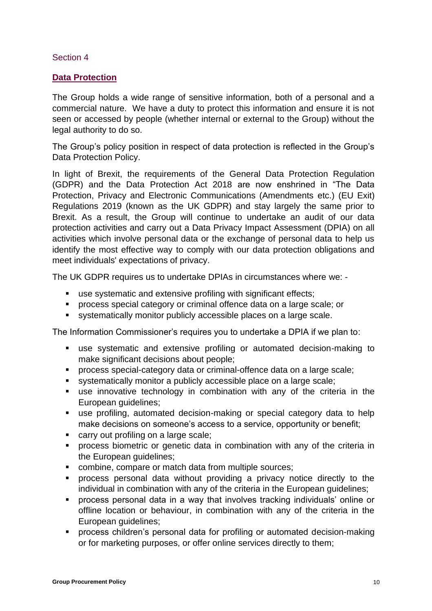# <span id="page-9-1"></span><span id="page-9-0"></span>**Data Protection**

The Group holds a wide range of sensitive information, both of a personal and a commercial nature. We have a duty to protect this information and ensure it is not seen or accessed by people (whether internal or external to the Group) without the legal authority to do so.

The Group's policy position in respect of data protection is reflected in the Group's Data Protection Policy.

In light of Brexit, the requirements of the General Data Protection Regulation (GDPR) and the Data Protection Act 2018 are now enshrined in "The Data Protection, Privacy and Electronic Communications (Amendments etc.) (EU Exit) Regulations 2019 (known as the UK GDPR) and stay largely the same prior to Brexit. As a result, the Group will continue to undertake an audit of our data protection activities and carry out a Data Privacy Impact Assessment (DPIA) on all activities which involve personal data or the exchange of personal data to help us identify the most effective way to comply with our data protection obligations and meet individuals' expectations of privacy.

The UK GDPR requires us to undertake DPIAs in circumstances where we: -

- use systematic and extensive profiling with significant effects;
- **•** process special category or criminal offence data on a large scale; or
- systematically monitor publicly accessible places on a large scale.

The Information Commissioner's requires you to undertake a DPIA if we plan to:

- use systematic and extensive profiling or automated decision-making to make significant decisions about people;
- process special-category data or criminal-offence data on a large scale;
- systematically monitor a publicly accessible place on a large scale;
- use innovative technology in combination with any of the criteria in the European guidelines;
- use profiling, automated decision-making or special category data to help make decisions on someone's access to a service, opportunity or benefit;
- carry out profiling on a large scale;
- **•** process biometric or genetic data in combination with any of the criteria in the European guidelines;
- combine, compare or match data from multiple sources;
- process personal data without providing a privacy notice directly to the individual in combination with any of the criteria in the European guidelines;
- process personal data in a way that involves tracking individuals' online or offline location or behaviour, in combination with any of the criteria in the European guidelines;
- process children's personal data for profiling or automated decision-making or for marketing purposes, or offer online services directly to them;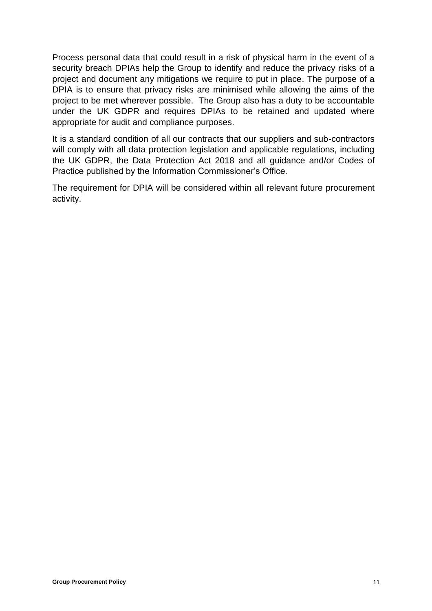Process personal data that could result in a risk of physical harm in the event of a security breach DPIAs help the Group to identify and reduce the privacy risks of a project and document any mitigations we require to put in place. The purpose of a DPIA is to ensure that privacy risks are minimised while allowing the aims of the project to be met wherever possible. The Group also has a duty to be accountable under the UK GDPR and requires DPIAs to be retained and updated where appropriate for audit and compliance purposes.

It is a standard condition of all our contracts that our suppliers and sub-contractors will comply with all data protection legislation and applicable regulations, including the UK GDPR, the Data Protection Act 2018 and all guidance and/or Codes of Practice published by the Information Commissioner's Office.

The requirement for DPIA will be considered within all relevant future procurement activity.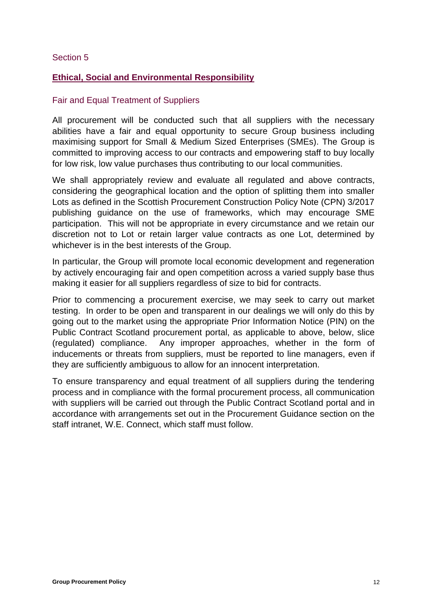# <span id="page-11-1"></span><span id="page-11-0"></span>**Ethical, Social and Environmental Responsibility**

# Fair and Equal Treatment of Suppliers

All procurement will be conducted such that all suppliers with the necessary abilities have a fair and equal opportunity to secure Group business including maximising support for Small & Medium Sized Enterprises (SMEs). The Group is committed to improving access to our contracts and empowering staff to buy locally for low risk, low value purchases thus contributing to our local communities.

We shall appropriately review and evaluate all regulated and above contracts, considering the geographical location and the option of splitting them into smaller Lots as defined in the Scottish Procurement Construction Policy Note (CPN) 3/2017 publishing guidance on the use of frameworks, which may encourage SME participation. This will not be appropriate in every circumstance and we retain our discretion not to Lot or retain larger value contracts as one Lot, determined by whichever is in the best interests of the Group.

In particular, the Group will promote local economic development and regeneration by actively encouraging fair and open competition across a varied supply base thus making it easier for all suppliers regardless of size to bid for contracts.

Prior to commencing a procurement exercise, we may seek to carry out market testing. In order to be open and transparent in our dealings we will only do this by going out to the market using the appropriate Prior Information Notice (PIN) on the Public Contract Scotland procurement portal, as applicable to above, below, slice (regulated) compliance. Any improper approaches, whether in the form of inducements or threats from suppliers, must be reported to line managers, even if they are sufficiently ambiguous to allow for an innocent interpretation.

To ensure transparency and equal treatment of all suppliers during the tendering process and in compliance with the formal procurement process, all communication with suppliers will be carried out through the Public Contract Scotland portal and in accordance with arrangements set out in the Procurement Guidance section on the staff intranet, W.E. Connect, which staff must follow.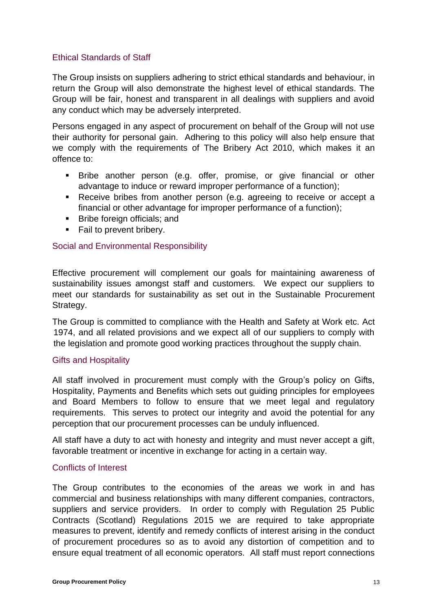# Ethical Standards of Staff

The Group insists on suppliers adhering to strict ethical standards and behaviour, in return the Group will also demonstrate the highest level of ethical standards. The Group will be fair, honest and transparent in all dealings with suppliers and avoid any conduct which may be adversely interpreted.

Persons engaged in any aspect of procurement on behalf of the Group will not use their authority for personal gain. Adhering to this policy will also help ensure that we comply with the requirements of The Bribery Act 2010, which makes it an offence to:

- **Example 2** Bribe another person (e.g. offer, promise, or give financial or other advantage to induce or reward improper performance of a function);
- Receive bribes from another person (e.g. agreeing to receive or accept a financial or other advantage for improper performance of a function);
- Bribe foreign officials; and
- Fail to prevent bribery.

# Social and Environmental Responsibility

Effective procurement will complement our goals for maintaining awareness of sustainability issues amongst staff and customers. We expect our suppliers to meet our standards for sustainability as set out in the Sustainable Procurement Strategy.

The Group is committed to compliance with the Health and Safety at Work etc. Act 1974, and all related provisions and we expect all of our suppliers to comply with the legislation and promote good working practices throughout the supply chain.

# Gifts and Hospitality

All staff involved in procurement must comply with the Group's policy on Gifts, Hospitality, Payments and Benefits which sets out guiding principles for employees and Board Members to follow to ensure that we meet legal and regulatory requirements. This serves to protect our integrity and avoid the potential for any perception that our procurement processes can be unduly influenced.

All staff have a duty to act with honesty and integrity and must never accept a gift, favorable treatment or incentive in exchange for acting in a certain way.

# Conflicts of Interest

The Group contributes to the economies of the areas we work in and has commercial and business relationships with many different companies, contractors, suppliers and service providers. In order to comply with Regulation 25 Public Contracts (Scotland) Regulations 2015 we are required to take appropriate measures to prevent, identify and remedy conflicts of interest arising in the conduct of procurement procedures so as to avoid any distortion of competition and to ensure equal treatment of all economic operators. All staff must report connections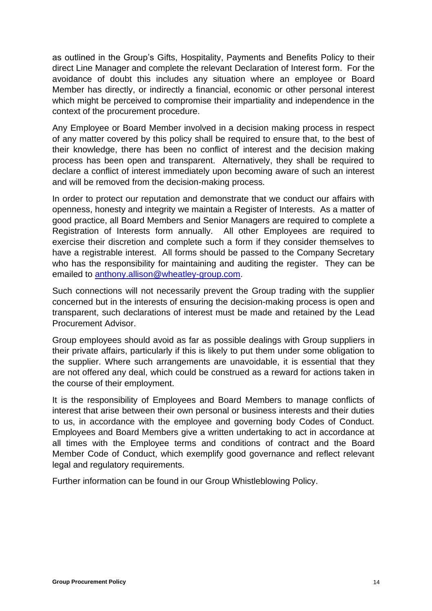as outlined in the Group's Gifts, Hospitality, Payments and Benefits Policy to their direct Line Manager and complete the relevant Declaration of Interest form. For the avoidance of doubt this includes any situation where an employee or Board Member has directly, or indirectly a financial, economic or other personal interest which might be perceived to compromise their impartiality and independence in the context of the procurement procedure.

Any Employee or Board Member involved in a decision making process in respect of any matter covered by this policy shall be required to ensure that, to the best of their knowledge, there has been no conflict of interest and the decision making process has been open and transparent. Alternatively, they shall be required to declare a conflict of interest immediately upon becoming aware of such an interest and will be removed from the decision-making process.

In order to protect our reputation and demonstrate that we conduct our affairs with openness, honesty and integrity we maintain a Register of Interests. As a matter of good practice, all Board Members and Senior Managers are required to complete a Registration of Interests form annually. All other Employees are required to exercise their discretion and complete such a form if they consider themselves to have a registrable interest. All forms should be passed to the Company Secretary who has the responsibility for maintaining and auditing the register. They can be emailed to [anthony.allison@wheatley-group.com.](mailto:anthony.allison@wheatley-group.com)

Such connections will not necessarily prevent the Group trading with the supplier concerned but in the interests of ensuring the decision-making process is open and transparent, such declarations of interest must be made and retained by the Lead Procurement Advisor.

Group employees should avoid as far as possible dealings with Group suppliers in their private affairs, particularly if this is likely to put them under some obligation to the supplier. Where such arrangements are unavoidable, it is essential that they are not offered any deal, which could be construed as a reward for actions taken in the course of their employment.

It is the responsibility of Employees and Board Members to manage conflicts of interest that arise between their own personal or business interests and their duties to us, in accordance with the employee and governing body Codes of Conduct. Employees and Board Members give a written undertaking to act in accordance at all times with the Employee terms and conditions of contract and the Board Member Code of Conduct, which exemplify good governance and reflect relevant legal and regulatory requirements.

Further information can be found in our Group Whistleblowing Policy.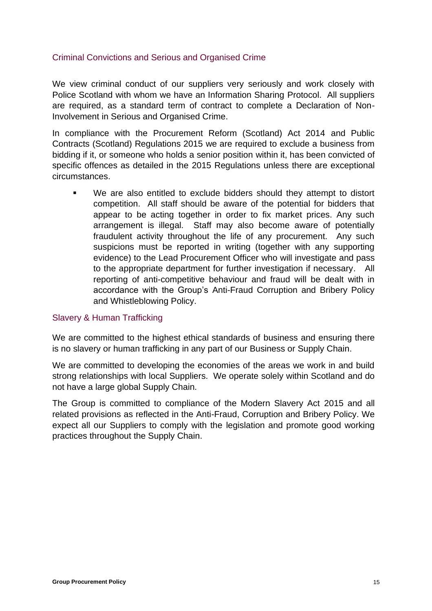# Criminal Convictions and Serious and Organised Crime

We view criminal conduct of our suppliers very seriously and work closely with Police Scotland with whom we have an Information Sharing Protocol. All suppliers are required, as a standard term of contract to complete a Declaration of Non-Involvement in Serious and Organised Crime.

In compliance with the Procurement Reform (Scotland) Act 2014 and Public Contracts (Scotland) Regulations 2015 we are required to exclude a business from bidding if it, or someone who holds a senior position within it, has been convicted of specific offences as detailed in the 2015 Regulations unless there are exceptional circumstances.

We are also entitled to exclude bidders should they attempt to distort competition. All staff should be aware of the potential for bidders that appear to be acting together in order to fix market prices. Any such arrangement is illegal. Staff may also become aware of potentially fraudulent activity throughout the life of any procurement. Any such suspicions must be reported in writing (together with any supporting evidence) to the Lead Procurement Officer who will investigate and pass to the appropriate department for further investigation if necessary. All reporting of anti-competitive behaviour and fraud will be dealt with in accordance with the Group's Anti-Fraud Corruption and Bribery Policy and Whistleblowing Policy.

# Slavery & Human Trafficking

We are committed to the highest ethical standards of business and ensuring there is no slavery or human trafficking in any part of our Business or Supply Chain.

We are committed to developing the economies of the areas we work in and build strong relationships with local Suppliers. We operate solely within Scotland and do not have a large global Supply Chain.

The Group is committed to compliance of the Modern Slavery Act 2015 and all related provisions as reflected in the Anti-Fraud, Corruption and Bribery Policy. We expect all our Suppliers to comply with the legislation and promote good working practices throughout the Supply Chain.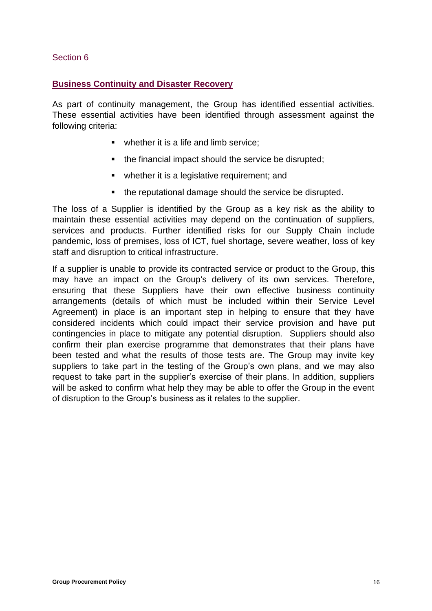# <span id="page-15-1"></span><span id="page-15-0"></span>**Business Continuity and Disaster Recovery**

As part of continuity management, the Group has identified essential activities. These essential activities have been identified through assessment against the following criteria:

- whether it is a life and limb service:
- the financial impact should the service be disrupted;
- whether it is a legislative requirement; and
- the reputational damage should the service be disrupted.

The loss of a Supplier is identified by the Group as a key risk as the ability to maintain these essential activities may depend on the continuation of suppliers, services and products. Further identified risks for our Supply Chain include pandemic, loss of premises, loss of ICT, fuel shortage, severe weather, loss of key staff and disruption to critical infrastructure.

If a supplier is unable to provide its contracted service or product to the Group, this may have an impact on the Group's delivery of its own services. Therefore, ensuring that these Suppliers have their own effective business continuity arrangements (details of which must be included within their Service Level Agreement) in place is an important step in helping to ensure that they have considered incidents which could impact their service provision and have put contingencies in place to mitigate any potential disruption. Suppliers should also confirm their plan exercise programme that demonstrates that their plans have been tested and what the results of those tests are. The Group may invite key suppliers to take part in the testing of the Group's own plans, and we may also request to take part in the supplier's exercise of their plans. In addition, suppliers will be asked to confirm what help they may be able to offer the Group in the event of disruption to the Group's business as it relates to the supplier.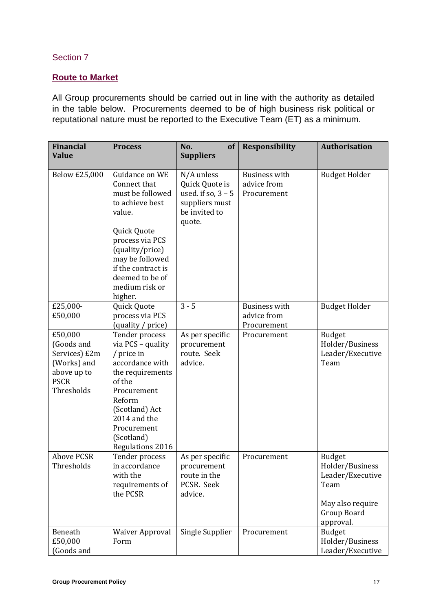# <span id="page-16-1"></span><span id="page-16-0"></span>**Route to Market**

All Group procurements should be carried out in line with the authority as detailed in the table below. Procurements deemed to be of high business risk political or reputational nature must be reported to the Executive Team (ET) as a minimum.

| <b>Financial</b><br><b>Value</b>                                                                  | <b>Process</b>                                                                                                                                                                                                                | No.<br>of<br><b>Suppliers</b>                                                                     | <b>Responsibility</b>                              | Authorisation                                                                                                |
|---------------------------------------------------------------------------------------------------|-------------------------------------------------------------------------------------------------------------------------------------------------------------------------------------------------------------------------------|---------------------------------------------------------------------------------------------------|----------------------------------------------------|--------------------------------------------------------------------------------------------------------------|
| Below £25,000                                                                                     | Guidance on WE<br>Connect that<br>must be followed<br>to achieve best<br>value.<br>Quick Quote<br>process via PCS<br>(quality/price)<br>may be followed<br>if the contract is<br>deemed to be of<br>medium risk or<br>higher. | N/A unless<br>Quick Quote is<br>used. if so, $3 - 5$<br>suppliers must<br>be invited to<br>quote. | <b>Business with</b><br>advice from<br>Procurement | <b>Budget Holder</b>                                                                                         |
| £25,000-<br>£50,000                                                                               | Quick Quote<br>process via PCS<br>(quality / price)                                                                                                                                                                           | $3 - 5$                                                                                           | <b>Business with</b><br>advice from<br>Procurement | <b>Budget Holder</b>                                                                                         |
| £50,000<br>(Goods and<br>Services) £2m<br>(Works) and<br>above up to<br><b>PSCR</b><br>Thresholds | Tender process<br>via PCS - quality<br>/ price in<br>accordance with<br>the requirements<br>of the<br>Procurement<br>Reform<br>(Scotland) Act<br>2014 and the<br>Procurement<br>(Scotland)<br>Regulations 2016                | As per specific<br>procurement<br>route. Seek<br>advice.                                          | Procurement                                        | <b>Budget</b><br>Holder/Business<br>Leader/Executive<br>Team                                                 |
| <b>Above PCSR</b><br>Thresholds                                                                   | Tender process<br>in accordance<br>with the<br>requirements of<br>the PCSR                                                                                                                                                    | As per specific<br>procurement<br>route in the<br>PCSR. Seek<br>advice.                           | Procurement                                        | <b>Budget</b><br>Holder/Business<br>Leader/Executive<br>Team<br>May also require<br>Group Board<br>approval. |
| Beneath<br>£50,000<br>Goods and                                                                   | <b>Waiver Approval</b><br>Form                                                                                                                                                                                                | Single Supplier                                                                                   | Procurement                                        | <b>Budget</b><br>Holder/Business<br>Leader/Executive                                                         |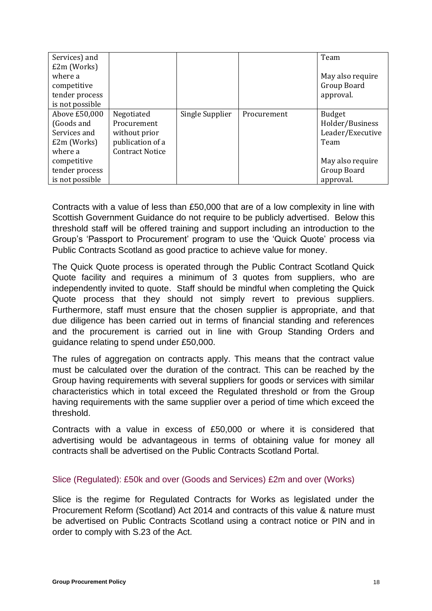| Services) and   |                        |                 |             | Team             |
|-----------------|------------------------|-----------------|-------------|------------------|
| £2m (Works)     |                        |                 |             |                  |
| where a         |                        |                 |             | May also require |
| competitive     |                        |                 |             | Group Board      |
| tender process  |                        |                 |             | approval.        |
| is not possible |                        |                 |             |                  |
| Above £50,000   | Negotiated             | Single Supplier | Procurement | <b>Budget</b>    |
| (Goods and      | Procurement            |                 |             | Holder/Business  |
| Services and    | without prior          |                 |             | Leader/Executive |
| £2m (Works)     | publication of a       |                 |             | Team             |
| where a         | <b>Contract Notice</b> |                 |             |                  |
| competitive     |                        |                 |             | May also require |
| tender process  |                        |                 |             | Group Board      |
| is not possible |                        |                 |             | approval.        |

Contracts with a value of less than £50,000 that are of a low complexity in line with Scottish Government Guidance do not require to be publicly advertised. Below this threshold staff will be offered training and support including an introduction to the Group's 'Passport to Procurement' program to use the 'Quick Quote' process via Public Contracts Scotland as good practice to achieve value for money.

The Quick Quote process is operated through the Public Contract Scotland Quick Quote facility and requires a minimum of 3 quotes from suppliers, who are independently invited to quote. Staff should be mindful when completing the Quick Quote process that they should not simply revert to previous suppliers. Furthermore, staff must ensure that the chosen supplier is appropriate, and that due diligence has been carried out in terms of financial standing and references and the procurement is carried out in line with Group Standing Orders and guidance relating to spend under £50,000.

The rules of aggregation on contracts apply. This means that the contract value must be calculated over the duration of the contract. This can be reached by the Group having requirements with several suppliers for goods or services with similar characteristics which in total exceed the Regulated threshold or from the Group having requirements with the same supplier over a period of time which exceed the threshold.

Contracts with a value in excess of £50,000 or where it is considered that advertising would be advantageous in terms of obtaining value for money all contracts shall be advertised on the Public Contracts Scotland Portal.

# Slice (Regulated): £50k and over (Goods and Services) £2m and over (Works)

Slice is the regime for Regulated Contracts for Works as legislated under the Procurement Reform (Scotland) Act 2014 and contracts of this value & nature must be advertised on Public Contracts Scotland using a contract notice or PIN and in order to comply with S.23 of the Act.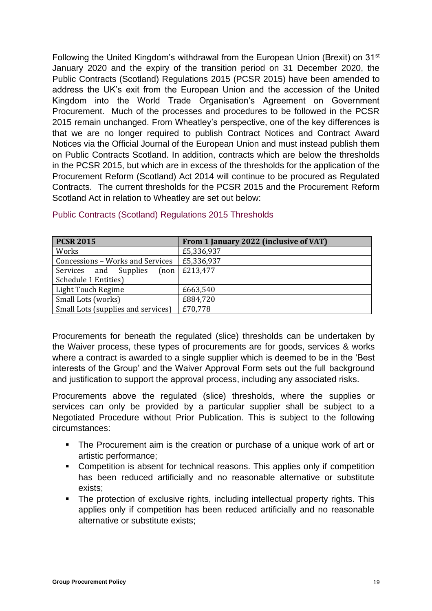Following the United Kingdom's withdrawal from the European Union (Brexit) on 31st January 2020 and the expiry of the transition period on 31 December 2020, the Public Contracts (Scotland) Regulations 2015 (PCSR 2015) have been amended to address the UK's exit from the European Union and the accession of the United Kingdom into the World Trade Organisation's Agreement on Government Procurement. Much of the processes and procedures to be followed in the PCSR 2015 remain unchanged. From Wheatley's perspective, one of the key differences is that we are no longer required to publish Contract Notices and Contract Award Notices via the Official Journal of the European Union and must instead publish them on Public Contracts Scotland. In addition, contracts which are below the thresholds in the PCSR 2015, but which are in excess of the thresholds for the application of the Procurement Reform (Scotland) Act 2014 will continue to be procured as Regulated Contracts. The current thresholds for the PCSR 2015 and the Procurement Reform Scotland Act in relation to Wheatley are set out below:

| <b>PCSR 2015</b>                   | From 1 January 2022 (inclusive of VAT) |
|------------------------------------|----------------------------------------|
| Works                              | £5,336,937                             |
| Concessions - Works and Services   | £5,336,937                             |
| Services and Supplies<br>[non]     | £213,477                               |
| Schedule 1 Entities)               |                                        |
| Light Touch Regime                 | £663,540                               |
| Small Lots (works)                 | £884,720                               |
| Small Lots (supplies and services) | £70,778                                |

# Public Contracts (Scotland) Regulations 2015 Thresholds

Procurements for beneath the regulated (slice) thresholds can be undertaken by the Waiver process, these types of procurements are for goods, services & works where a contract is awarded to a single supplier which is deemed to be in the 'Best interests of the Group' and the Waiver Approval Form sets out the full background and justification to support the approval process, including any associated risks.

Procurements above the regulated (slice) thresholds, where the supplies or services can only be provided by a particular supplier shall be subject to a Negotiated Procedure without Prior Publication. This is subject to the following circumstances:

- The Procurement aim is the creation or purchase of a unique work of art or artistic performance;
- Competition is absent for technical reasons. This applies only if competition has been reduced artificially and no reasonable alternative or substitute exists;
- The protection of exclusive rights, including intellectual property rights. This applies only if competition has been reduced artificially and no reasonable alternative or substitute exists;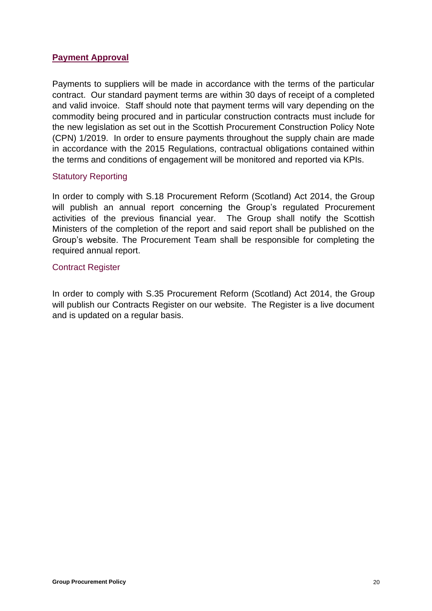# <span id="page-19-0"></span>**Payment Approval**

Payments to suppliers will be made in accordance with the terms of the particular contract. Our standard payment terms are within 30 days of receipt of a completed and valid invoice. Staff should note that payment terms will vary depending on the commodity being procured and in particular construction contracts must include for the new legislation as set out in the Scottish Procurement Construction Policy Note (CPN) 1/2019. In order to ensure payments throughout the supply chain are made in accordance with the 2015 Regulations, contractual obligations contained within the terms and conditions of engagement will be monitored and reported via KPIs.

#### Statutory Reporting

In order to comply with S.18 Procurement Reform (Scotland) Act 2014, the Group will publish an annual report concerning the Group's regulated Procurement activities of the previous financial year. The Group shall notify the Scottish Ministers of the completion of the report and said report shall be published on the Group's website. The Procurement Team shall be responsible for completing the required annual report.

#### Contract Register

<span id="page-19-1"></span>In order to comply with S.35 Procurement Reform (Scotland) Act 2014, the Group will publish our Contracts Register on our website. The Register is a live document and is updated on a regular basis.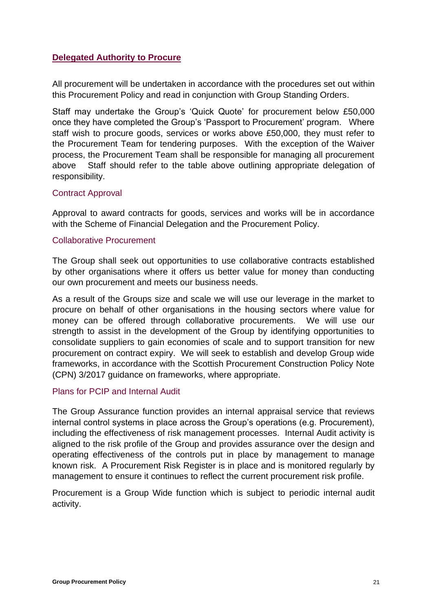# **Delegated Authority to Procure**

All procurement will be undertaken in accordance with the procedures set out within this Procurement Policy and read in conjunction with Group Standing Orders.

Staff may undertake the Group's 'Quick Quote' for procurement below £50,000 once they have completed the Group's 'Passport to Procurement' program. Where staff wish to procure goods, services or works above £50,000, they must refer to the Procurement Team for tendering purposes. With the exception of the Waiver process, the Procurement Team shall be responsible for managing all procurement above Staff should refer to the table above outlining appropriate delegation of responsibility.

#### Contract Approval

Approval to award contracts for goods, services and works will be in accordance with the Scheme of Financial Delegation and the Procurement Policy.

#### Collaborative Procurement

The Group shall seek out opportunities to use collaborative contracts established by other organisations where it offers us better value for money than conducting our own procurement and meets our business needs.

As a result of the Groups size and scale we will use our leverage in the market to procure on behalf of other organisations in the housing sectors where value for money can be offered through collaborative procurements. We will use our strength to assist in the development of the Group by identifying opportunities to consolidate suppliers to gain economies of scale and to support transition for new procurement on contract expiry. We will seek to establish and develop Group wide frameworks, in accordance with the Scottish Procurement Construction Policy Note (CPN) 3/2017 guidance on frameworks, where appropriate.

# Plans for PCIP and Internal Audit

The Group Assurance function provides an internal appraisal service that reviews internal control systems in place across the Group's operations (e.g. Procurement), including the effectiveness of risk management processes. Internal Audit activity is aligned to the risk profile of the Group and provides assurance over the design and operating effectiveness of the controls put in place by management to manage known risk. A Procurement Risk Register is in place and is monitored regularly by management to ensure it continues to reflect the current procurement risk profile.

Procurement is a Group Wide function which is subject to periodic internal audit activity.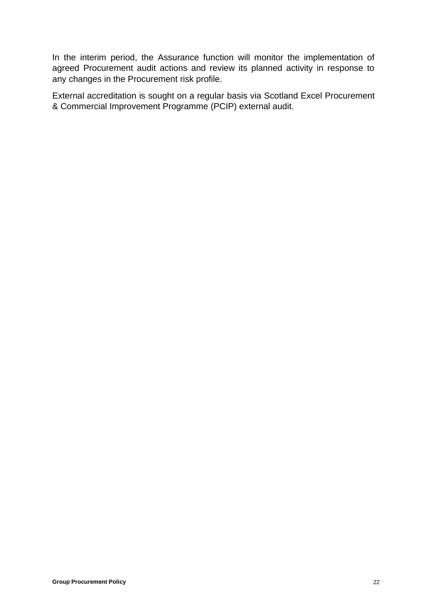In the interim period, the Assurance function will monitor the implementation of agreed Procurement audit actions and review its planned activity in response to any changes in the Procurement risk profile.

External accreditation is sought on a regular basis via Scotland Excel Procurement & Commercial Improvement Programme (PCIP) external audit.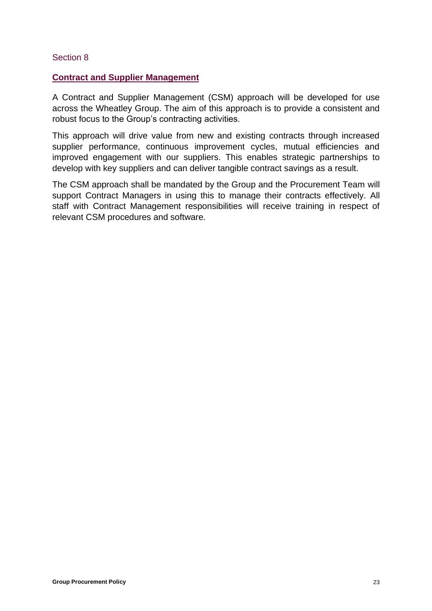#### <span id="page-22-1"></span><span id="page-22-0"></span>**Contract and Supplier Management**

A Contract and Supplier Management (CSM) approach will be developed for use across the Wheatley Group. The aim of this approach is to provide a consistent and robust focus to the Group's contracting activities.

This approach will drive value from new and existing contracts through increased supplier performance, continuous improvement cycles, mutual efficiencies and improved engagement with our suppliers. This enables strategic partnerships to develop with key suppliers and can deliver tangible contract savings as a result.

The CSM approach shall be mandated by the Group and the Procurement Team will support Contract Managers in using this to manage their contracts effectively. All staff with Contract Management responsibilities will receive training in respect of relevant CSM procedures and software.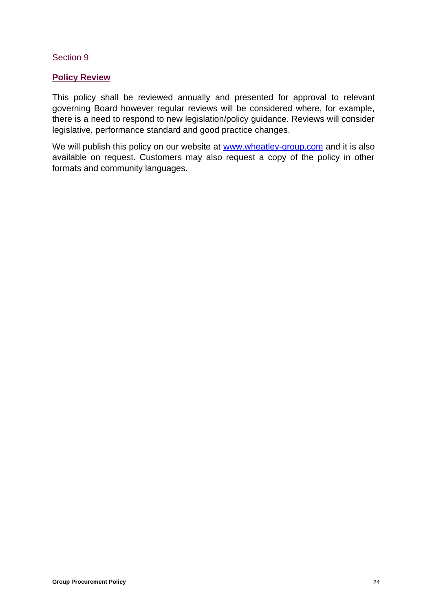#### <span id="page-23-1"></span><span id="page-23-0"></span>**Policy Review**

This policy shall be reviewed annually and presented for approval to relevant governing Board however regular reviews will be considered where, for example, there is a need to respond to new legislation/policy guidance. Reviews will consider legislative, performance standard and good practice changes.

We will publish this policy on our website at [www.wheatley-group.com](http://www.wheatley-group.com/) and it is also available on request. Customers may also request a copy of the policy in other formats and community languages.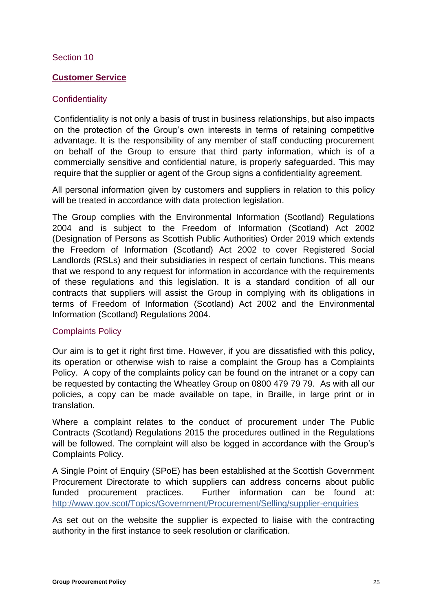# <span id="page-24-1"></span><span id="page-24-0"></span>**Customer Service**

# **Confidentiality**

Confidentiality is not only a basis of trust in business relationships, but also impacts on the protection of the Group's own interests in terms of retaining competitive advantage. It is the responsibility of any member of staff conducting procurement on behalf of the Group to ensure that third party information, which is of a commercially sensitive and confidential nature, is properly safeguarded. This may require that the supplier or agent of the Group signs a confidentiality agreement.

All personal information given by customers and suppliers in relation to this policy will be treated in accordance with data protection legislation.

The Group complies with the Environmental Information (Scotland) Regulations 2004 and is subject to the Freedom of Information (Scotland) Act 2002 (Designation of Persons as Scottish Public Authorities) Order 2019 which extends the Freedom of Information (Scotland) Act 2002 to cover Registered Social Landlords (RSLs) and their subsidiaries in respect of certain functions. This means that we respond to any request for information in accordance with the requirements of these regulations and this legislation. It is a standard condition of all our contracts that suppliers will assist the Group in complying with its obligations in terms of Freedom of Information (Scotland) Act 2002 and the Environmental Information (Scotland) Regulations 2004.

# Complaints Policy

Our aim is to get it right first time. However, if you are dissatisfied with this policy, its operation or otherwise wish to raise a complaint the Group has a Complaints Policy. A copy of the complaints policy can be found on the intranet or a copy can be requested by contacting the Wheatley Group on 0800 479 79 79. As with all our policies, a copy can be made available on tape, in Braille, in large print or in translation.

Where a complaint relates to the conduct of procurement under The Public Contracts (Scotland) Regulations 2015 the procedures outlined in the Regulations will be followed. The complaint will also be logged in accordance with the Group's Complaints Policy.

A Single Point of Enquiry (SPoE) has been established at the Scottish Government Procurement Directorate to which suppliers can address concerns about public funded procurement practices. Further information can be found at: <http://www.gov.scot/Topics/Government/Procurement/Selling/supplier-enquiries>

<span id="page-24-2"></span>As set out on the website the supplier is expected to liaise with the contracting authority in the first instance to seek resolution or clarification.